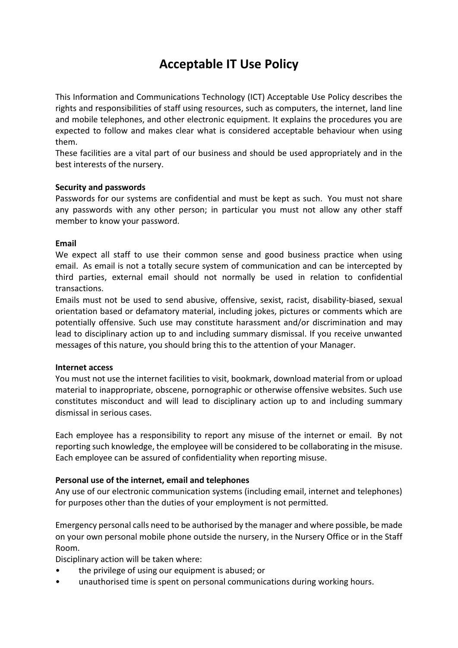# **Acceptable IT Use Policy**

This Information and Communications Technology (ICT) Acceptable Use Policy describes the rights and responsibilities of staff using resources, such as computers, the internet, land line and mobile telephones, and other electronic equipment. It explains the procedures you are expected to follow and makes clear what is considered acceptable behaviour when using them.

These facilities are a vital part of our business and should be used appropriately and in the best interests of the nursery.

## **Security and passwords**

Passwords for our systems are confidential and must be kept as such. You must not share any passwords with any other person; in particular you must not allow any other staff member to know your password.

### **Email**

We expect all staff to use their common sense and good business practice when using email. As email is not a totally secure system of communication and can be intercepted by third parties, external email should not normally be used in relation to confidential transactions.

Emails must not be used to send abusive, offensive, sexist, racist, disability-biased, sexual orientation based or defamatory material, including jokes, pictures or comments which are potentially offensive. Such use may constitute harassment and/or discrimination and may lead to disciplinary action up to and including summary dismissal. If you receive unwanted messages of this nature, you should bring this to the attention of your Manager.

### **Internet access**

You must not use the internet facilities to visit, bookmark, download material from or upload material to inappropriate, obscene, pornographic or otherwise offensive websites. Such use constitutes misconduct and will lead to disciplinary action up to and including summary dismissal in serious cases.

Each employee has a responsibility to report any misuse of the internet or email. By not reporting such knowledge, the employee will be considered to be collaborating in the misuse. Each employee can be assured of confidentiality when reporting misuse.

### **Personal use of the internet, email and telephones**

Any use of our electronic communication systems (including email, internet and telephones) for purposes other than the duties of your employment is not permitted.

Emergency personal calls need to be authorised by the manager and where possible, be made on your own personal mobile phone outside the nursery, in the Nursery Office or in the Staff Room.

Disciplinary action will be taken where:

- the privilege of using our equipment is abused; or
- unauthorised time is spent on personal communications during working hours.